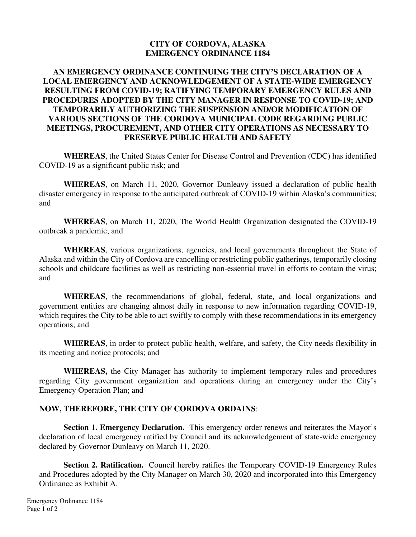#### **CITY OF CORDOVA, ALASKA EMERGENCY ORDINANCE 1184**

#### **AN EMERGENCY ORDINANCE CONTINUING THE CITY'S DECLARATION OF A LOCAL EMERGENCY AND ACKNOWLEDGEMENT OF A STATE-WIDE EMERGENCY RESULTING FROM COVID-19; RATIFYING TEMPORARY EMERGENCY RULES AND PROCEDURES ADOPTED BY THE CITY MANAGER IN RESPONSE TO COVID-19; AND TEMPORARILY AUTHORIZING THE SUSPENSION AND/OR MODIFICATION OF VARIOUS SECTIONS OF THE CORDOVA MUNICIPAL CODE REGARDING PUBLIC MEETINGS, PROCUREMENT, AND OTHER CITY OPERATIONS AS NECESSARY TO PRESERVE PUBLIC HEALTH AND SAFETY**

**WHEREAS**, the United States Center for Disease Control and Prevention (CDC) has identified COVID-19 as a significant public risk; and

**WHEREAS**, on March 11, 2020, Governor Dunleavy issued a declaration of public health disaster emergency in response to the anticipated outbreak of COVID-19 within Alaska's communities; and

**WHEREAS**, on March 11, 2020, The World Health Organization designated the COVID-19 outbreak a pandemic; and

**WHEREAS**, various organizations, agencies, and local governments throughout the State of Alaska and within the City of Cordova are cancelling or restricting public gatherings, temporarily closing schools and childcare facilities as well as restricting non-essential travel in efforts to contain the virus; and

**WHEREAS**, the recommendations of global, federal, state, and local organizations and government entities are changing almost daily in response to new information regarding COVID-19, which requires the City to be able to act swiftly to comply with these recommendations in its emergency operations; and

**WHEREAS**, in order to protect public health, welfare, and safety, the City needs flexibility in its meeting and notice protocols; and

**WHEREAS,** the City Manager has authority to implement temporary rules and procedures regarding City government organization and operations during an emergency under the City's Emergency Operation Plan; and

#### **NOW, THEREFORE, THE CITY OF CORDOVA ORDAINS**:

**Section 1. Emergency Declaration.** This emergency order renews and reiterates the Mayor's declaration of local emergency ratified by Council and its acknowledgement of state-wide emergency declared by Governor Dunleavy on March 11, 2020.

**Section 2. Ratification.** Council hereby ratifies the Temporary COVID-19 Emergency Rules and Procedures adopted by the City Manager on March 30, 2020 and incorporated into this Emergency Ordinance as Exhibit A.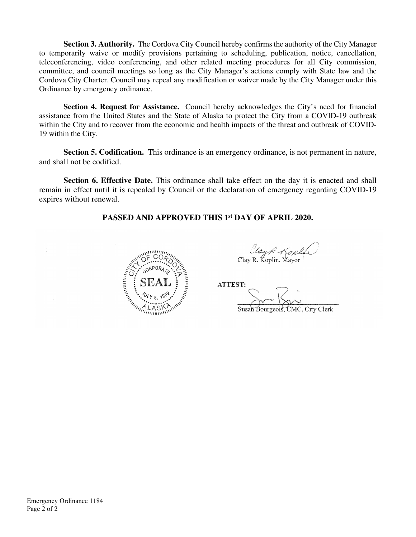**Section 3. Authority.** The Cordova City Council hereby confirms the authority of the City Manager to temporarily waive or modify provisions pertaining to scheduling, publication, notice, cancellation, teleconferencing, video conferencing, and other related meeting procedures for all City commission, committee, and council meetings so long as the City Manager's actions comply with State law and the Cordova City Charter. Council may repeal any modification or waiver made by the City Manager under this Ordinance by emergency ordinance.

**Section 4. Request for Assistance.** Council hereby acknowledges the City's need for financial assistance from the United States and the State of Alaska to protect the City from a COVID-19 outbreak within the City and to recover from the economic and health impacts of the threat and outbreak of COVID-19 within the City.

**Section 5. Codification.** This ordinance is an emergency ordinance, is not permanent in nature, and shall not be codified.

**Section 6. Effective Date.** This ordinance shall take effect on the day it is enacted and shall remain in effect until it is repealed by Council or the declaration of emergency regarding COVID-19 expires without renewal.

# **PASSED AND APPROVED THIS 1st DAY OF APRIL 2020.**



 $\mathcal{L}$ Clay R. Kopla

Susan Bourgeois, CMC, City Clerk Susan Bourgeois, CMC, City Clerk

Emergency Ordinance 1184 Page 2 of 2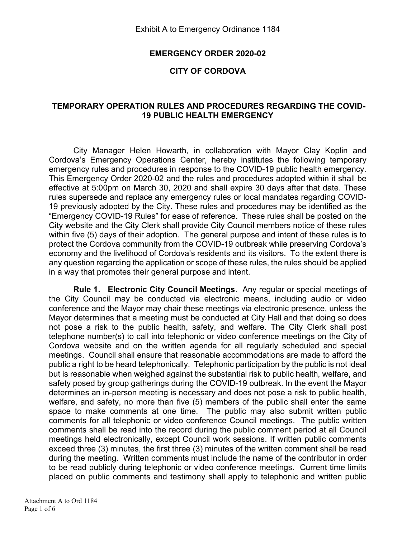#### EMERGENCY ORDER 2020-02

# CITY OF CORDOVA

# TEMPORARY OPERATION RULES AND PROCEDURES REGARDING THE COVID-19 PUBLIC HEALTH EMERGENCY

City Manager Helen Howarth, in collaboration with Mayor Clay Koplin and Cordova's Emergency Operations Center, hereby institutes the following temporary emergency rules and procedures in response to the COVID-19 public health emergency. This Emergency Order 2020-02 and the rules and procedures adopted within it shall be effective at 5:00pm on March 30, 2020 and shall expire 30 days after that date. These rules supersede and replace any emergency rules or local mandates regarding COVID-19 previously adopted by the City. These rules and procedures may be identified as the "Emergency COVID-19 Rules" for ease of reference. These rules shall be posted on the City website and the City Clerk shall provide City Council members notice of these rules within five (5) days of their adoption. The general purpose and intent of these rules is to protect the Cordova community from the COVID-19 outbreak while preserving Cordova's economy and the livelihood of Cordova's residents and its visitors. To the extent there is any question regarding the application or scope of these rules, the rules should be applied in a way that promotes their general purpose and intent.

Rule 1. Electronic City Council Meetings. Any regular or special meetings of the City Council may be conducted via electronic means, including audio or video conference and the Mayor may chair these meetings via electronic presence, unless the Mayor determines that a meeting must be conducted at City Hall and that doing so does not pose a risk to the public health, safety, and welfare. The City Clerk shall post telephone number(s) to call into telephonic or video conference meetings on the City of Cordova website and on the written agenda for all regularly scheduled and special meetings. Council shall ensure that reasonable accommodations are made to afford the public a right to be heard telephonically. Telephonic participation by the public is not ideal but is reasonable when weighed against the substantial risk to public health, welfare, and safety posed by group gatherings during the COVID-19 outbreak. In the event the Mayor determines an in-person meeting is necessary and does not pose a risk to public health, welfare, and safety, no more than five (5) members of the public shall enter the same space to make comments at one time. The public may also submit written public comments for all telephonic or video conference Council meetings. The public written comments shall be read into the record during the public comment period at all Council meetings held electronically, except Council work sessions. If written public comments exceed three (3) minutes, the first three (3) minutes of the written comment shall be read during the meeting. Written comments must include the name of the contributor in order to be read publicly during telephonic or video conference meetings. Current time limits placed on public comments and testimony shall apply to telephonic and written public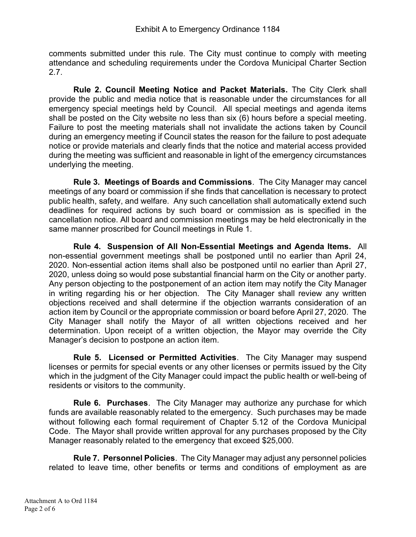comments submitted under this rule. The City must continue to comply with meeting attendance and scheduling requirements under the Cordova Municipal Charter Section 2.7.

Rule 2. Council Meeting Notice and Packet Materials. The City Clerk shall provide the public and media notice that is reasonable under the circumstances for all emergency special meetings held by Council. All special meetings and agenda items shall be posted on the City website no less than six (6) hours before a special meeting. Failure to post the meeting materials shall not invalidate the actions taken by Council during an emergency meeting if Council states the reason for the failure to post adequate notice or provide materials and clearly finds that the notice and material access provided during the meeting was sufficient and reasonable in light of the emergency circumstances underlying the meeting.

Rule 3. Meetings of Boards and Commissions. The City Manager may cancel meetings of any board or commission if she finds that cancellation is necessary to protect public health, safety, and welfare. Any such cancellation shall automatically extend such deadlines for required actions by such board or commission as is specified in the cancellation notice. All board and commission meetings may be held electronically in the same manner proscribed for Council meetings in Rule 1.

Rule 4. Suspension of All Non-Essential Meetings and Agenda Items. All non-essential government meetings shall be postponed until no earlier than April 24, 2020. Non-essential action items shall also be postponed until no earlier than April 27, 2020, unless doing so would pose substantial financial harm on the City or another party. Any person objecting to the postponement of an action item may notify the City Manager in writing regarding his or her objection. The City Manager shall review any written objections received and shall determine if the objection warrants consideration of an action item by Council or the appropriate commission or board before April 27, 2020. The City Manager shall notify the Mayor of all written objections received and her determination. Upon receipt of a written objection, the Mayor may override the City Manager's decision to postpone an action item.

Rule 5. Licensed or Permitted Activities. The City Manager may suspend licenses or permits for special events or any other licenses or permits issued by the City which in the judgment of the City Manager could impact the public health or well-being of residents or visitors to the community.

Rule 6. Purchases. The City Manager may authorize any purchase for which funds are available reasonably related to the emergency. Such purchases may be made without following each formal requirement of Chapter 5.12 of the Cordova Municipal Code. The Mayor shall provide written approval for any purchases proposed by the City Manager reasonably related to the emergency that exceed \$25,000.

Rule 7. Personnel Policies. The City Manager may adjust any personnel policies related to leave time, other benefits or terms and conditions of employment as are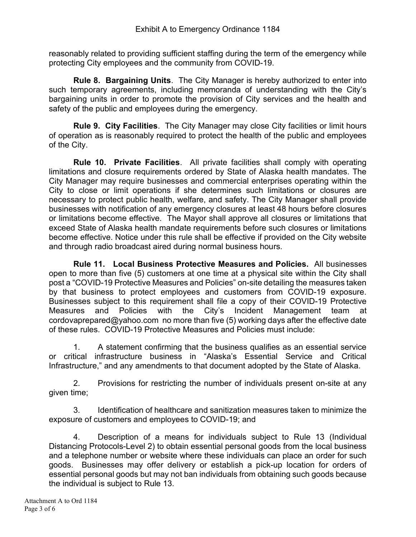reasonably related to providing sufficient staffing during the term of the emergency while protecting City employees and the community from COVID-19.

Rule 8. Bargaining Units. The City Manager is hereby authorized to enter into such temporary agreements, including memoranda of understanding with the City's bargaining units in order to promote the provision of City services and the health and safety of the public and employees during the emergency.

Rule 9. City Facilities. The City Manager may close City facilities or limit hours of operation as is reasonably required to protect the health of the public and employees of the City.

Rule 10. Private Facilities. All private facilities shall comply with operating limitations and closure requirements ordered by State of Alaska health mandates. The City Manager may require businesses and commercial enterprises operating within the City to close or limit operations if she determines such limitations or closures are necessary to protect public health, welfare, and safety. The City Manager shall provide businesses with notification of any emergency closures at least 48 hours before closures or limitations become effective. The Mayor shall approve all closures or limitations that exceed State of Alaska health mandate requirements before such closures or limitations become effective. Notice under this rule shall be effective if provided on the City website and through radio broadcast aired during normal business hours.

Rule 11. Local Business Protective Measures and Policies. All businesses open to more than five (5) customers at one time at a physical site within the City shall post a "COVID-19 Protective Measures and Policies" on-site detailing the measures taken by that business to protect employees and customers from COVID-19 exposure. Businesses subject to this requirement shall file a copy of their COVID-19 Protective Measures and Policies with the City's Incident Management team at cordovaprepared@yahoo.com no more than five (5) working days after the effective date of these rules. COVID-19 Protective Measures and Policies must include:

1. A statement confirming that the business qualifies as an essential service or critical infrastructure business in "Alaska's Essential Service and Critical Infrastructure," and any amendments to that document adopted by the State of Alaska.

2. Provisions for restricting the number of individuals present on-site at any given time;

3. Identification of healthcare and sanitization measures taken to minimize the exposure of customers and employees to COVID-19; and

4. Description of a means for individuals subject to Rule 13 (Individual Distancing Protocols-Level 2) to obtain essential personal goods from the local business and a telephone number or website where these individuals can place an order for such goods. Businesses may offer delivery or establish a pick-up location for orders of essential personal goods but may not ban individuals from obtaining such goods because the individual is subject to Rule 13.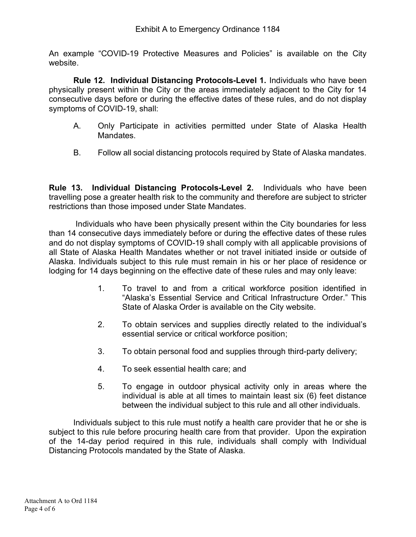An example "COVID-19 Protective Measures and Policies" is available on the City website.

Rule 12. Individual Distancing Protocols-Level 1. Individuals who have been physically present within the City or the areas immediately adjacent to the City for 14 consecutive days before or during the effective dates of these rules, and do not display symptoms of COVID-19, shall:

- A. Only Participate in activities permitted under State of Alaska Health Mandates.
- B. Follow all social distancing protocols required by State of Alaska mandates.

Rule 13. Individual Distancing Protocols-Level 2. Individuals who have been travelling pose a greater health risk to the community and therefore are subject to stricter restrictions than those imposed under State Mandates.

 Individuals who have been physically present within the City boundaries for less than 14 consecutive days immediately before or during the effective dates of these rules and do not display symptoms of COVID-19 shall comply with all applicable provisions of all State of Alaska Health Mandates whether or not travel initiated inside or outside of Alaska. Individuals subject to this rule must remain in his or her place of residence or lodging for 14 days beginning on the effective date of these rules and may only leave:

- 1. To travel to and from a critical workforce position identified in "Alaska's Essential Service and Critical Infrastructure Order." This State of Alaska Order is available on the City website.
- 2. To obtain services and supplies directly related to the individual's essential service or critical workforce position;
- 3. To obtain personal food and supplies through third-party delivery;
- 4. To seek essential health care; and
- 5. To engage in outdoor physical activity only in areas where the individual is able at all times to maintain least six (6) feet distance between the individual subject to this rule and all other individuals.

Individuals subject to this rule must notify a health care provider that he or she is subject to this rule before procuring health care from that provider. Upon the expiration of the 14-day period required in this rule, individuals shall comply with Individual Distancing Protocols mandated by the State of Alaska.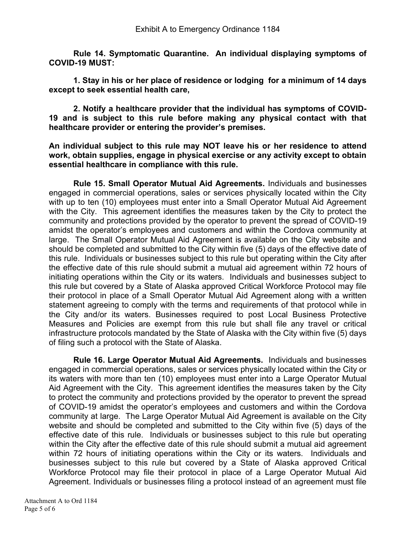Rule 14. Symptomatic Quarantine. An individual displaying symptoms of COVID-19 MUST:

 1. Stay in his or her place of residence or lodging for a minimum of 14 days except to seek essential health care,

 2. Notify a healthcare provider that the individual has symptoms of COVID-19 and is subject to this rule before making any physical contact with that healthcare provider or entering the provider's premises.

An individual subject to this rule may NOT leave his or her residence to attend work, obtain supplies, engage in physical exercise or any activity except to obtain essential healthcare in compliance with this rule.

Rule 15. Small Operator Mutual Aid Agreements. Individuals and businesses engaged in commercial operations, sales or services physically located within the City with up to ten (10) employees must enter into a Small Operator Mutual Aid Agreement with the City. This agreement identifies the measures taken by the City to protect the community and protections provided by the operator to prevent the spread of COVID-19 amidst the operator's employees and customers and within the Cordova community at large. The Small Operator Mutual Aid Agreement is available on the City website and should be completed and submitted to the City within five (5) days of the effective date of this rule. Individuals or businesses subject to this rule but operating within the City after the effective date of this rule should submit a mutual aid agreement within 72 hours of initiating operations within the City or its waters. Individuals and businesses subject to this rule but covered by a State of Alaska approved Critical Workforce Protocol may file their protocol in place of a Small Operator Mutual Aid Agreement along with a written statement agreeing to comply with the terms and requirements of that protocol while in the City and/or its waters. Businesses required to post Local Business Protective Measures and Policies are exempt from this rule but shall file any travel or critical infrastructure protocols mandated by the State of Alaska with the City within five (5) days of filing such a protocol with the State of Alaska.

Rule 16. Large Operator Mutual Aid Agreements. Individuals and businesses engaged in commercial operations, sales or services physically located within the City or its waters with more than ten (10) employees must enter into a Large Operator Mutual Aid Agreement with the City. This agreement identifies the measures taken by the City to protect the community and protections provided by the operator to prevent the spread of COVID-19 amidst the operator's employees and customers and within the Cordova community at large. The Large Operator Mutual Aid Agreement is available on the City website and should be completed and submitted to the City within five (5) days of the effective date of this rule. Individuals or businesses subject to this rule but operating within the City after the effective date of this rule should submit a mutual aid agreement within 72 hours of initiating operations within the City or its waters. Individuals and businesses subject to this rule but covered by a State of Alaska approved Critical Workforce Protocol may file their protocol in place of a Large Operator Mutual Aid Agreement. Individuals or businesses filing a protocol instead of an agreement must file